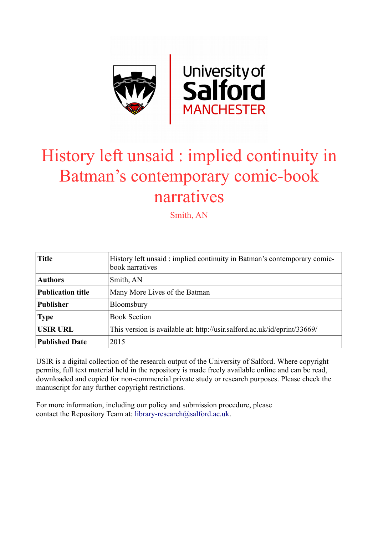

# History left unsaid : implied continuity in Batman's contemporary comic-book narratives

Smith, AN

| <b>Title</b>             | History left unsaid: implied continuity in Batman's contemporary comic-<br>book narratives |
|--------------------------|--------------------------------------------------------------------------------------------|
| <b>Authors</b>           | Smith, AN                                                                                  |
| <b>Publication title</b> | Many More Lives of the Batman                                                              |
| <b>Publisher</b>         | Bloomsbury                                                                                 |
| <b>Type</b>              | <b>Book Section</b>                                                                        |
| <b>USIR URL</b>          | This version is available at: http://usir.salford.ac.uk/id/eprint/33669/                   |
| <b>Published Date</b>    | 2015                                                                                       |

USIR is a digital collection of the research output of the University of Salford. Where copyright permits, full text material held in the repository is made freely available online and can be read, downloaded and copied for non-commercial private study or research purposes. Please check the manuscript for any further copyright restrictions.

For more information, including our policy and submission procedure, please contact the Repository Team at: [library-research@salford.ac.uk.](mailto:library-research@salford.ac.uk)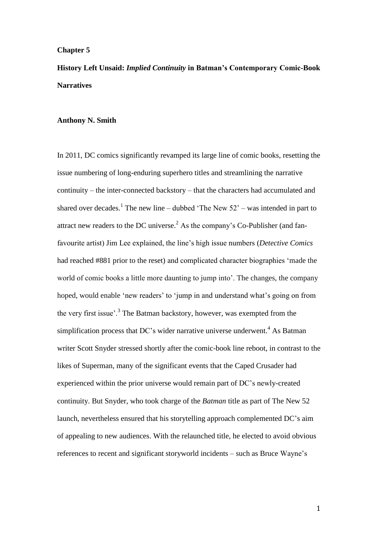### **Chapter 5**

**History Left Unsaid:** *Implied Continuity* **in Batman's Contemporary Comic-Book Narratives**

#### **Anthony N. Smith**

In 2011, DC comics significantly revamped its large line of comic books, resetting the issue numbering of long-enduring superhero titles and streamlining the narrative continuity – the inter-connected backstory – that the characters had accumulated and shared over decades.<sup>1</sup> The new line – dubbed 'The New  $52'$  – was intended in part to attract new readers to the DC universe.<sup>2</sup> As the company's Co-Publisher (and fanfavourite artist) Jim Lee explained, the line's high issue numbers (*Detective Comics* had reached #881 prior to the reset) and complicated character biographies 'made the world of comic books a little more daunting to jump into'. The changes, the company hoped, would enable 'new readers' to 'jump in and understand what's going on from the very first issue'.<sup>3</sup> The Batman backstory, however, was exempted from the simplification process that DC's wider narrative universe underwent.<sup>4</sup> As Batman writer Scott Snyder stressed shortly after the comic-book line reboot, in contrast to the likes of Superman, many of the significant events that the Caped Crusader had experienced within the prior universe would remain part of DC's newly-created continuity. But Snyder, who took charge of the *Batman* title as part of The New 52 launch, nevertheless ensured that his storytelling approach complemented DC's aim of appealing to new audiences. With the relaunched title, he elected to avoid obvious references to recent and significant storyworld incidents – such as Bruce Wayne's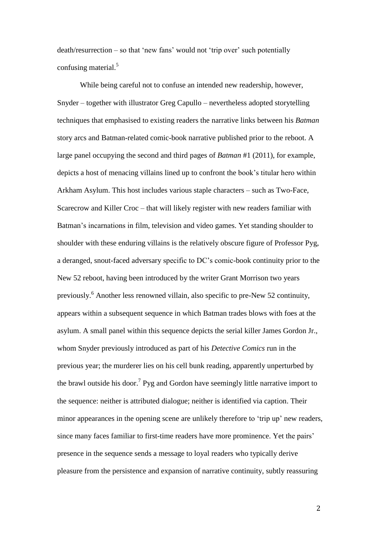death/resurrection – so that 'new fans' would not 'trip over' such potentially confusing material.<sup>5</sup>

While being careful not to confuse an intended new readership, however, Snyder – together with illustrator Greg Capullo – nevertheless adopted storytelling techniques that emphasised to existing readers the narrative links between his *Batman* story arcs and Batman-related comic-book narrative published prior to the reboot. A large panel occupying the second and third pages of *Batman* #1 (2011), for example, depicts a host of menacing villains lined up to confront the book's titular hero within Arkham Asylum. This host includes various staple characters – such as Two-Face, Scarecrow and Killer Croc – that will likely register with new readers familiar with Batman's incarnations in film, television and video games. Yet standing shoulder to shoulder with these enduring villains is the relatively obscure figure of Professor Pyg, a deranged, snout-faced adversary specific to DC's comic-book continuity prior to the New 52 reboot, having been introduced by the writer Grant Morrison two years previously. <sup>6</sup> Another less renowned villain, also specific to pre-New 52 continuity, appears within a subsequent sequence in which Batman trades blows with foes at the asylum. A small panel within this sequence depicts the serial killer James Gordon Jr., whom Snyder previously introduced as part of his *Detective Comics* run in the previous year; the murderer lies on his cell bunk reading, apparently unperturbed by the brawl outside his door.<sup>7</sup> Pyg and Gordon have seemingly little narrative import to the sequence: neither is attributed dialogue; neither is identified via caption. Their minor appearances in the opening scene are unlikely therefore to 'trip up' new readers, since many faces familiar to first-time readers have more prominence. Yet the pairs' presence in the sequence sends a message to loyal readers who typically derive pleasure from the persistence and expansion of narrative continuity, subtly reassuring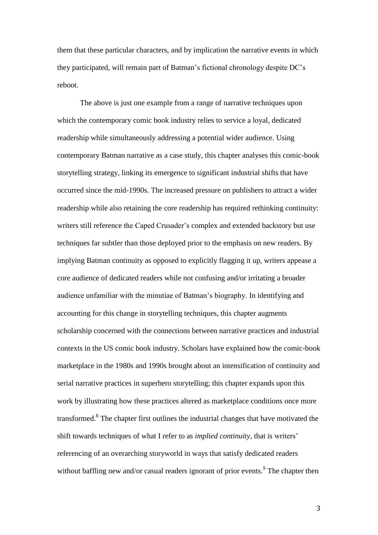them that these particular characters, and by implication the narrative events in which they participated, will remain part of Batman's fictional chronology despite DC's reboot.

The above is just one example from a range of narrative techniques upon which the contemporary comic book industry relies to service a loyal, dedicated readership while simultaneously addressing a potential wider audience. Using contemporary Batman narrative as a case study, this chapter analyses this comic-book storytelling strategy, linking its emergence to significant industrial shifts that have occurred since the mid-1990s. The increased pressure on publishers to attract a wider readership while also retaining the core readership has required rethinking continuity: writers still reference the Caped Crusader's complex and extended backstory but use techniques far subtler than those deployed prior to the emphasis on new readers. By implying Batman continuity as opposed to explicitly flagging it up, writers appease a core audience of dedicated readers while not confusing and/or irritating a broader audience unfamiliar with the minutiae of Batman's biography. In identifying and accounting for this change in storytelling techniques, this chapter augments scholarship concerned with the connections between narrative practices and industrial contexts in the US comic book industry. Scholars have explained how the comic-book marketplace in the 1980s and 1990s brought about an intensification of continuity and serial narrative practices in superhero storytelling; this chapter expands upon this work by illustrating how these practices altered as marketplace conditions once more transformed.<sup>8</sup> The chapter first outlines the industrial changes that have motivated the shift towards techniques of what I refer to as *implied continuity*, that is writers' referencing of an overarching storyworld in ways that satisfy dedicated readers without baffling new and/or casual readers ignorant of prior events.<sup>9</sup> The chapter then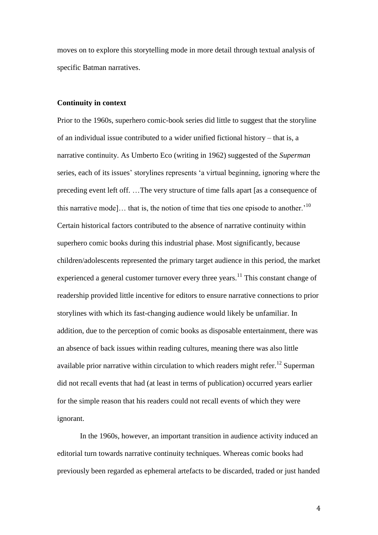moves on to explore this storytelling mode in more detail through textual analysis of specific Batman narratives.

#### **Continuity in context**

Prior to the 1960s, superhero comic-book series did little to suggest that the storyline of an individual issue contributed to a wider unified fictional history – that is, a narrative continuity. As Umberto Eco (writing in 1962) suggested of the *Superman* series, each of its issues' storylines represents 'a virtual beginning, ignoring where the preceding event left off. …The very structure of time falls apart [as a consequence of this narrative mode]... that is, the notion of time that ties one episode to another.<sup>10</sup> Certain historical factors contributed to the absence of narrative continuity within superhero comic books during this industrial phase. Most significantly, because children/adolescents represented the primary target audience in this period, the market experienced a general customer turnover every three years.<sup>11</sup> This constant change of readership provided little incentive for editors to ensure narrative connections to prior storylines with which its fast-changing audience would likely be unfamiliar. In addition, due to the perception of comic books as disposable entertainment, there was an absence of back issues within reading cultures, meaning there was also little available prior narrative within circulation to which readers might refer.<sup>12</sup> Superman did not recall events that had (at least in terms of publication) occurred years earlier for the simple reason that his readers could not recall events of which they were ignorant.

In the 1960s, however, an important transition in audience activity induced an editorial turn towards narrative continuity techniques. Whereas comic books had previously been regarded as ephemeral artefacts to be discarded, traded or just handed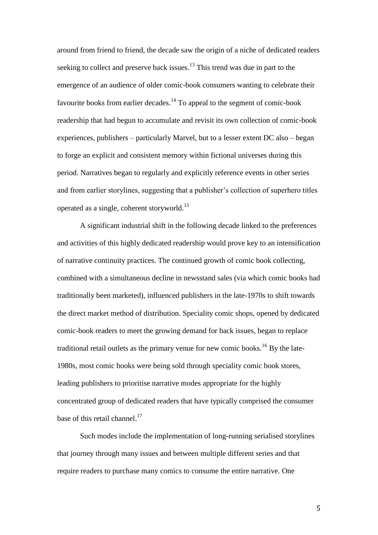around from friend to friend, the decade saw the origin of a niche of dedicated readers seeking to collect and preserve back issues.<sup>13</sup> This trend was due in part to the emergence of an audience of older comic-book consumers wanting to celebrate their favourite books from earlier decades.<sup>14</sup> To appeal to the segment of comic-book readership that had begun to accumulate and revisit its own collection of comic-book experiences, publishers – particularly Marvel, but to a lesser extent DC also – began to forge an explicit and consistent memory within fictional universes during this period. Narratives began to regularly and explicitly reference events in other series and from earlier storylines, suggesting that a publisher's collection of superhero titles operated as a single, coherent storyworld.<sup>15</sup>

A significant industrial shift in the following decade linked to the preferences and activities of this highly dedicated readership would prove key to an intensification of narrative continuity practices. The continued growth of comic book collecting, combined with a simultaneous decline in newsstand sales (via which comic books had traditionally been marketed), influenced publishers in the late-1970s to shift towards the direct market method of distribution. Speciality comic shops, opened by dedicated comic-book readers to meet the growing demand for back issues, began to replace traditional retail outlets as the primary venue for new comic books.<sup>16</sup> By the late-1980s, most comic books were being sold through speciality comic book stores, leading publishers to prioritise narrative modes appropriate for the highly concentrated group of dedicated readers that have typically comprised the consumer base of this retail channel.<sup>17</sup>

Such modes include the implementation of long-running serialised storylines that journey through many issues and between multiple different series and that require readers to purchase many comics to consume the entire narrative. One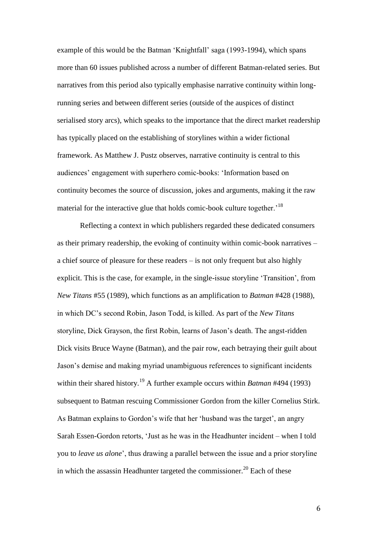example of this would be the Batman 'Knightfall' saga (1993-1994), which spans more than 60 issues published across a number of different Batman-related series. But narratives from this period also typically emphasise narrative continuity within longrunning series and between different series (outside of the auspices of distinct serialised story arcs), which speaks to the importance that the direct market readership has typically placed on the establishing of storylines within a wider fictional framework. As Matthew J. Pustz observes, narrative continuity is central to this audiences' engagement with superhero comic-books: 'Information based on continuity becomes the source of discussion, jokes and arguments, making it the raw material for the interactive glue that holds comic-book culture together.<sup>18</sup>

Reflecting a context in which publishers regarded these dedicated consumers as their primary readership, the evoking of continuity within comic-book narratives – a chief source of pleasure for these readers – is not only frequent but also highly explicit. This is the case, for example, in the single-issue storyline 'Transition', from *New Titans* #55 (1989), which functions as an amplification to *Batman* #428 (1988), in which DC's second Robin, Jason Todd, is killed. As part of the *New Titans* storyline, Dick Grayson, the first Robin, learns of Jason's death. The angst-ridden Dick visits Bruce Wayne (Batman), and the pair row, each betraying their guilt about Jason's demise and making myriad unambiguous references to significant incidents within their shared history.<sup>19</sup> A further example occurs within *Batman* #494 (1993) subsequent to Batman rescuing Commissioner Gordon from the killer Cornelius Stirk. As Batman explains to Gordon's wife that her 'husband was the target', an angry Sarah Essen-Gordon retorts, 'Just as he was in the Headhunter incident – when I told you to *leave us alone*', thus drawing a parallel between the issue and a prior storyline in which the assassin Headhunter targeted the commissioner.<sup>20</sup> Each of these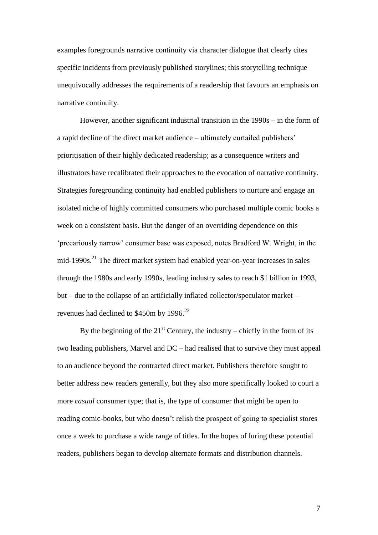examples foregrounds narrative continuity via character dialogue that clearly cites specific incidents from previously published storylines; this storytelling technique unequivocally addresses the requirements of a readership that favours an emphasis on narrative continuity.

However, another significant industrial transition in the 1990s – in the form of a rapid decline of the direct market audience – ultimately curtailed publishers' prioritisation of their highly dedicated readership; as a consequence writers and illustrators have recalibrated their approaches to the evocation of narrative continuity. Strategies foregrounding continuity had enabled publishers to nurture and engage an isolated niche of highly committed consumers who purchased multiple comic books a week on a consistent basis. But the danger of an overriding dependence on this 'precariously narrow' consumer base was exposed, notes Bradford W. Wright, in the mid-1990s.<sup>21</sup> The direct market system had enabled year-on-year increases in sales through the 1980s and early 1990s, leading industry sales to reach \$1 billion in 1993, but – due to the collapse of an artificially inflated collector/speculator market – revenues had declined to  $$450m$  by 1996.<sup>22</sup>

By the beginning of the  $21<sup>st</sup>$  Century, the industry – chiefly in the form of its two leading publishers, Marvel and DC – had realised that to survive they must appeal to an audience beyond the contracted direct market. Publishers therefore sought to better address new readers generally, but they also more specifically looked to court a more *casual* consumer type; that is, the type of consumer that might be open to reading comic-books, but who doesn't relish the prospect of going to specialist stores once a week to purchase a wide range of titles. In the hopes of luring these potential readers, publishers began to develop alternate formats and distribution channels.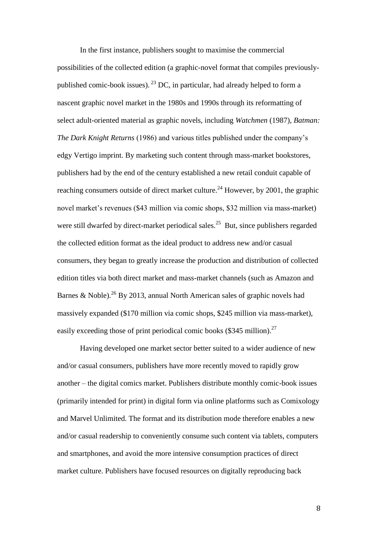In the first instance, publishers sought to maximise the commercial possibilities of the collected edition (a graphic-novel format that compiles previouslypublished comic-book issues). <sup>23</sup> DC, in particular, had already helped to form a nascent graphic novel market in the 1980s and 1990s through its reformatting of select adult-oriented material as graphic novels, including *Watchmen* (1987), *Batman: The Dark Knight Returns* (1986) and various titles published under the company's edgy Vertigo imprint. By marketing such content through mass-market bookstores, publishers had by the end of the century established a new retail conduit capable of reaching consumers outside of direct market culture.<sup>24</sup> However, by 2001, the graphic novel market's revenues (\$43 million via comic shops, \$32 million via mass-market) were still dwarfed by direct-market periodical sales.<sup>25</sup> But, since publishers regarded the collected edition format as the ideal product to address new and/or casual consumers, they began to greatly increase the production and distribution of collected edition titles via both direct market and mass-market channels (such as Amazon and Barnes & Noble).<sup>26</sup> By 2013, annual North American sales of graphic novels had massively expanded (\$170 million via comic shops, \$245 million via mass-market), easily exceeding those of print periodical comic books  $(\$345$  million).<sup>27</sup>

Having developed one market sector better suited to a wider audience of new and/or casual consumers, publishers have more recently moved to rapidly grow another – the digital comics market. Publishers distribute monthly comic-book issues (primarily intended for print) in digital form via online platforms such as Comixology and Marvel Unlimited. The format and its distribution mode therefore enables a new and/or casual readership to conveniently consume such content via tablets, computers and smartphones, and avoid the more intensive consumption practices of direct market culture. Publishers have focused resources on digitally reproducing back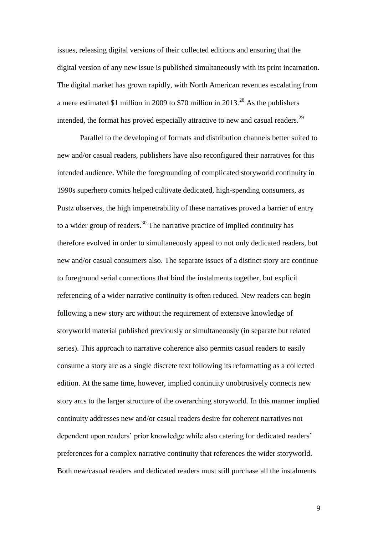issues, releasing digital versions of their collected editions and ensuring that the digital version of any new issue is published simultaneously with its print incarnation. The digital market has grown rapidly, with North American revenues escalating from a mere estimated \$1 million in 2009 to \$70 million in 2013.<sup>28</sup> As the publishers intended, the format has proved especially attractive to new and casual readers.<sup>29</sup>

Parallel to the developing of formats and distribution channels better suited to new and/or casual readers, publishers have also reconfigured their narratives for this intended audience. While the foregrounding of complicated storyworld continuity in 1990s superhero comics helped cultivate dedicated, high-spending consumers, as Pustz observes, the high impenetrability of these narratives proved a barrier of entry to a wider group of readers.<sup>30</sup> The narrative practice of implied continuity has therefore evolved in order to simultaneously appeal to not only dedicated readers, but new and/or casual consumers also. The separate issues of a distinct story arc continue to foreground serial connections that bind the instalments together, but explicit referencing of a wider narrative continuity is often reduced. New readers can begin following a new story arc without the requirement of extensive knowledge of storyworld material published previously or simultaneously (in separate but related series). This approach to narrative coherence also permits casual readers to easily consume a story arc as a single discrete text following its reformatting as a collected edition. At the same time, however, implied continuity unobtrusively connects new story arcs to the larger structure of the overarching storyworld. In this manner implied continuity addresses new and/or casual readers desire for coherent narratives not dependent upon readers' prior knowledge while also catering for dedicated readers' preferences for a complex narrative continuity that references the wider storyworld. Both new/casual readers and dedicated readers must still purchase all the instalments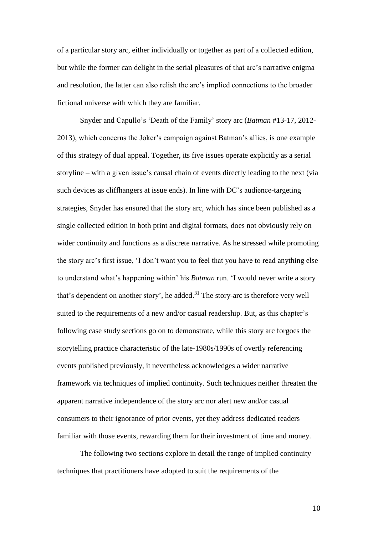of a particular story arc, either individually or together as part of a collected edition, but while the former can delight in the serial pleasures of that arc's narrative enigma and resolution, the latter can also relish the arc's implied connections to the broader fictional universe with which they are familiar.

Snyder and Capullo's 'Death of the Family' story arc (*Batman* #13-17, 2012- 2013), which concerns the Joker's campaign against Batman's allies, is one example of this strategy of dual appeal. Together, its five issues operate explicitly as a serial storyline – with a given issue's causal chain of events directly leading to the next (via such devices as cliffhangers at issue ends). In line with DC's audience-targeting strategies, Snyder has ensured that the story arc, which has since been published as a single collected edition in both print and digital formats, does not obviously rely on wider continuity and functions as a discrete narrative. As he stressed while promoting the story arc's first issue, 'I don't want you to feel that you have to read anything else to understand what's happening within' his *Batman* run. 'I would never write a story that's dependent on another story', he added. $31$  The story-arc is therefore very well suited to the requirements of a new and/or casual readership. But, as this chapter's following case study sections go on to demonstrate, while this story arc forgoes the storytelling practice characteristic of the late-1980s/1990s of overtly referencing events published previously, it nevertheless acknowledges a wider narrative framework via techniques of implied continuity. Such techniques neither threaten the apparent narrative independence of the story arc nor alert new and/or casual consumers to their ignorance of prior events, yet they address dedicated readers familiar with those events, rewarding them for their investment of time and money.

The following two sections explore in detail the range of implied continuity techniques that practitioners have adopted to suit the requirements of the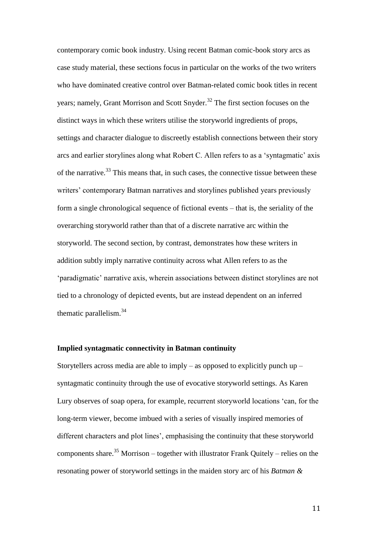contemporary comic book industry. Using recent Batman comic-book story arcs as case study material, these sections focus in particular on the works of the two writers who have dominated creative control over Batman-related comic book titles in recent years; namely, Grant Morrison and Scott Snyder.<sup>32</sup> The first section focuses on the distinct ways in which these writers utilise the storyworld ingredients of props, settings and character dialogue to discreetly establish connections between their story arcs and earlier storylines along what Robert C. Allen refers to as a 'syntagmatic' axis of the narrative.<sup>33</sup> This means that, in such cases, the connective tissue between these writers' contemporary Batman narratives and storylines published years previously form a single chronological sequence of fictional events – that is, the seriality of the overarching storyworld rather than that of a discrete narrative arc within the storyworld. The second section, by contrast, demonstrates how these writers in addition subtly imply narrative continuity across what Allen refers to as the 'paradigmatic' narrative axis, wherein associations between distinct storylines are not tied to a chronology of depicted events, but are instead dependent on an inferred thematic parallelism.<sup>34</sup>

#### **Implied syntagmatic connectivity in Batman continuity**

Storytellers across media are able to imply – as opposed to explicitly punch up – syntagmatic continuity through the use of evocative storyworld settings. As Karen Lury observes of soap opera, for example, recurrent storyworld locations 'can, for the long-term viewer, become imbued with a series of visually inspired memories of different characters and plot lines', emphasising the continuity that these storyworld components share.<sup>35</sup> Morrison – together with illustrator Frank Quitely – relies on the resonating power of storyworld settings in the maiden story arc of his *Batman &*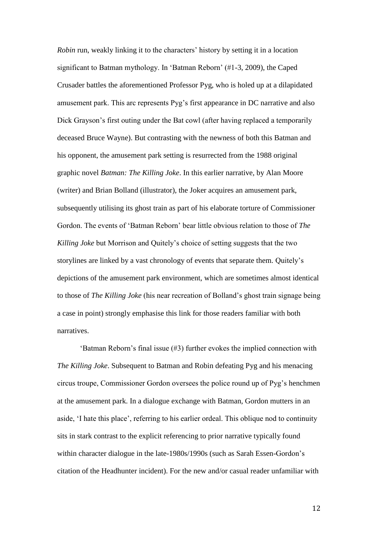*Robin* run, weakly linking it to the characters' history by setting it in a location significant to Batman mythology. In 'Batman Reborn' (#1-3, 2009), the Caped Crusader battles the aforementioned Professor Pyg, who is holed up at a dilapidated amusement park. This arc represents Pyg's first appearance in DC narrative and also Dick Grayson's first outing under the Bat cowl (after having replaced a temporarily deceased Bruce Wayne). But contrasting with the newness of both this Batman and his opponent, the amusement park setting is resurrected from the 1988 original graphic novel *Batman: The Killing Joke*. In this earlier narrative, by Alan Moore (writer) and Brian Bolland (illustrator), the Joker acquires an amusement park, subsequently utilising its ghost train as part of his elaborate torture of Commissioner Gordon. The events of 'Batman Reborn' bear little obvious relation to those of *The Killing Joke* but Morrison and Quitely's choice of setting suggests that the two storylines are linked by a vast chronology of events that separate them. Quitely's depictions of the amusement park environment, which are sometimes almost identical to those of *The Killing Joke* (his near recreation of Bolland's ghost train signage being a case in point) strongly emphasise this link for those readers familiar with both narratives.

'Batman Reborn's final issue (#3) further evokes the implied connection with *The Killing Joke*. Subsequent to Batman and Robin defeating Pyg and his menacing circus troupe, Commissioner Gordon oversees the police round up of Pyg's henchmen at the amusement park. In a dialogue exchange with Batman, Gordon mutters in an aside, 'I hate this place', referring to his earlier ordeal. This oblique nod to continuity sits in stark contrast to the explicit referencing to prior narrative typically found within character dialogue in the late-1980s/1990s (such as Sarah Essen-Gordon's citation of the Headhunter incident). For the new and/or casual reader unfamiliar with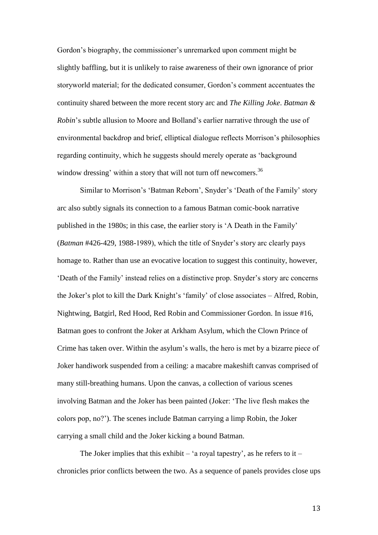Gordon's biography, the commissioner's unremarked upon comment might be slightly baffling, but it is unlikely to raise awareness of their own ignorance of prior storyworld material; for the dedicated consumer, Gordon's comment accentuates the continuity shared between the more recent story arc and *The Killing Joke*. *Batman & Robin*'s subtle allusion to Moore and Bolland's earlier narrative through the use of environmental backdrop and brief, elliptical dialogue reflects Morrison's philosophies regarding continuity, which he suggests should merely operate as 'background window dressing' within a story that will not turn off newcomers.<sup>36</sup>

Similar to Morrison's 'Batman Reborn', Snyder's 'Death of the Family' story arc also subtly signals its connection to a famous Batman comic-book narrative published in the 1980s; in this case, the earlier story is 'A Death in the Family' (*Batman* #426-429, 1988-1989), which the title of Snyder's story arc clearly pays homage to. Rather than use an evocative location to suggest this continuity, however, 'Death of the Family' instead relies on a distinctive prop. Snyder's story arc concerns the Joker's plot to kill the Dark Knight's 'family' of close associates – Alfred, Robin, Nightwing, Batgirl, Red Hood, Red Robin and Commissioner Gordon. In issue #16, Batman goes to confront the Joker at Arkham Asylum, which the Clown Prince of Crime has taken over. Within the asylum's walls, the hero is met by a bizarre piece of Joker handiwork suspended from a ceiling: a macabre makeshift canvas comprised of many still-breathing humans. Upon the canvas, a collection of various scenes involving Batman and the Joker has been painted (Joker: 'The live flesh makes the colors pop, no?'). The scenes include Batman carrying a limp Robin, the Joker carrying a small child and the Joker kicking a bound Batman.

The Joker implies that this exhibit – 'a royal tapestry', as he refers to it – chronicles prior conflicts between the two. As a sequence of panels provides close ups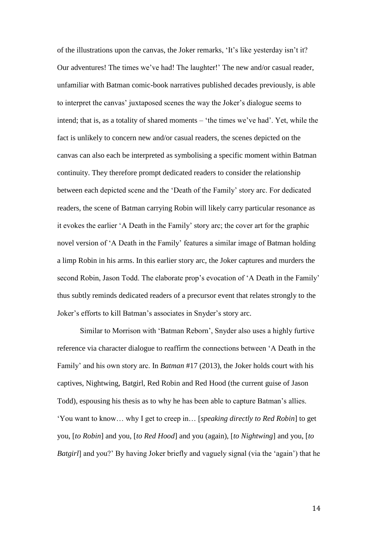of the illustrations upon the canvas, the Joker remarks, 'It's like yesterday isn't it? Our adventures! The times we've had! The laughter!' The new and/or casual reader, unfamiliar with Batman comic-book narratives published decades previously, is able to interpret the canvas' juxtaposed scenes the way the Joker's dialogue seems to intend; that is, as a totality of shared moments – 'the times we've had'. Yet, while the fact is unlikely to concern new and/or casual readers, the scenes depicted on the canvas can also each be interpreted as symbolising a specific moment within Batman continuity. They therefore prompt dedicated readers to consider the relationship between each depicted scene and the 'Death of the Family' story arc. For dedicated readers, the scene of Batman carrying Robin will likely carry particular resonance as it evokes the earlier 'A Death in the Family' story arc; the cover art for the graphic novel version of 'A Death in the Family' features a similar image of Batman holding a limp Robin in his arms. In this earlier story arc, the Joker captures and murders the second Robin, Jason Todd. The elaborate prop's evocation of 'A Death in the Family' thus subtly reminds dedicated readers of a precursor event that relates strongly to the Joker's efforts to kill Batman's associates in Snyder's story arc.

Similar to Morrison with 'Batman Reborn', Snyder also uses a highly furtive reference via character dialogue to reaffirm the connections between 'A Death in the Family' and his own story arc. In *Batman* #17 (2013), the Joker holds court with his captives, Nightwing, Batgirl, Red Robin and Red Hood (the current guise of Jason Todd), espousing his thesis as to why he has been able to capture Batman's allies. 'You want to know… why I get to creep in… [*speaking directly to Red Robin*] to get you, [*to Robin*] and you, [*to Red Hood*] and you (again), [*to Nightwing*] and you, [*to Batgirl*] and you?' By having Joker briefly and vaguely signal (via the 'again') that he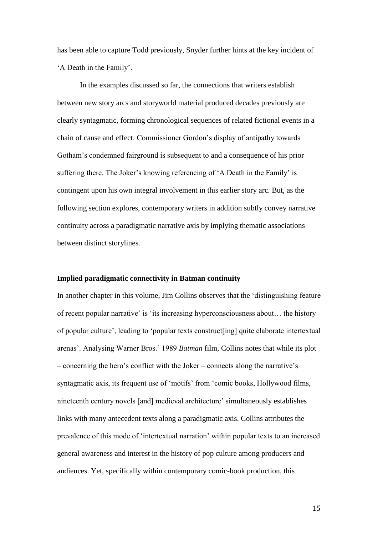has been able to capture Todd previously, Snyder further hints at the key incident of 'A Death in the Family'.

In the examples discussed so far, the connections that writers establish between new story arcs and storyworld material produced decades previously are clearly syntagmatic, forming chronological sequences of related fictional events in a chain of cause and effect. Commissioner Gordon's display of antipathy towards Gotham's condemned fairground is subsequent to and a consequence of his prior suffering there. The Joker's knowing referencing of 'A Death in the Family' is contingent upon his own integral involvement in this earlier story arc. But, as the following section explores, contemporary writers in addition subtly convey narrative continuity across a paradigmatic narrative axis by implying thematic associations between distinct storylines.

#### **Implied paradigmatic connectivity in Batman continuity**

In another chapter in this volume, Jim Collins observes that the 'distinguishing feature of recent popular narrative' is 'its increasing hyperconsciousness about… the history of popular culture', leading to 'popular texts construct[ing] quite elaborate intertextual arenas'. Analysing Warner Bros.' 1989 *Batman* film, Collins notes that while its plot – concerning the hero's conflict with the Joker – connects along the narrative's syntagmatic axis, its frequent use of 'motifs' from 'comic books, Hollywood films, nineteenth century novels [and] medieval architecture' simultaneously establishes links with many antecedent texts along a paradigmatic axis. Collins attributes the prevalence of this mode of 'intertextual narration' within popular texts to an increased general awareness and interest in the history of pop culture among producers and audiences. Yet, specifically within contemporary comic-book production, this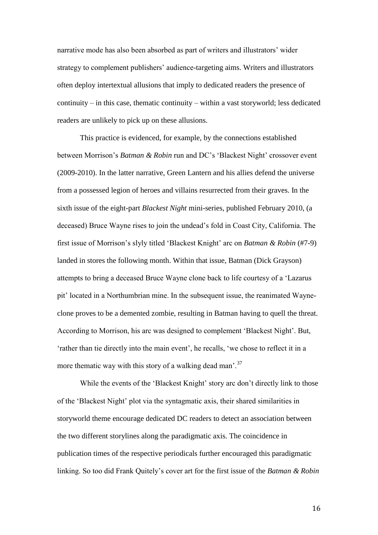narrative mode has also been absorbed as part of writers and illustrators' wider strategy to complement publishers' audience-targeting aims. Writers and illustrators often deploy intertextual allusions that imply to dedicated readers the presence of continuity – in this case, thematic continuity – within a vast storyworld; less dedicated readers are unlikely to pick up on these allusions.

This practice is evidenced, for example, by the connections established between Morrison's *Batman & Robin* run and DC's 'Blackest Night' crossover event (2009-2010). In the latter narrative, Green Lantern and his allies defend the universe from a possessed legion of heroes and villains resurrected from their graves. In the sixth issue of the eight-part *Blackest Night* mini-series, published February 2010, (a deceased) Bruce Wayne rises to join the undead's fold in Coast City, California. The first issue of Morrison's slyly titled 'Blackest Knight' arc on *Batman & Robin* (#7-9) landed in stores the following month. Within that issue, Batman (Dick Grayson) attempts to bring a deceased Bruce Wayne clone back to life courtesy of a 'Lazarus pit' located in a Northumbrian mine. In the subsequent issue, the reanimated Wayneclone proves to be a demented zombie, resulting in Batman having to quell the threat. According to Morrison, his arc was designed to complement 'Blackest Night'. But, 'rather than tie directly into the main event', he recalls, 'we chose to reflect it in a more thematic way with this story of a walking dead man<sup>'.37</sup>

While the events of the 'Blackest Knight' story arc don't directly link to those of the 'Blackest Night' plot via the syntagmatic axis, their shared similarities in storyworld theme encourage dedicated DC readers to detect an association between the two different storylines along the paradigmatic axis. The coincidence in publication times of the respective periodicals further encouraged this paradigmatic linking. So too did Frank Quitely's cover art for the first issue of the *Batman & Robin*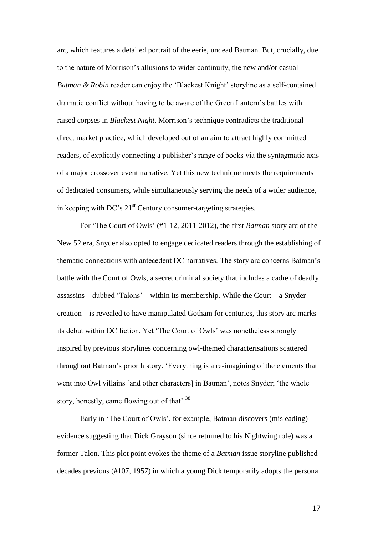arc, which features a detailed portrait of the eerie, undead Batman. But, crucially, due to the nature of Morrison's allusions to wider continuity, the new and/or casual *Batman & Robin* reader can enjoy the 'Blackest Knight' storyline as a self-contained dramatic conflict without having to be aware of the Green Lantern's battles with raised corpses in *Blackest Night*. Morrison's technique contradicts the traditional direct market practice, which developed out of an aim to attract highly committed readers, of explicitly connecting a publisher's range of books via the syntagmatic axis of a major crossover event narrative. Yet this new technique meets the requirements of dedicated consumers, while simultaneously serving the needs of a wider audience, in keeping with DC's  $21<sup>st</sup>$  Century consumer-targeting strategies.

For 'The Court of Owls' (#1-12, 2011-2012), the first *Batman* story arc of the New 52 era, Snyder also opted to engage dedicated readers through the establishing of thematic connections with antecedent DC narratives. The story arc concerns Batman's battle with the Court of Owls, a secret criminal society that includes a cadre of deadly assassins – dubbed 'Talons' – within its membership. While the Court – a Snyder creation – is revealed to have manipulated Gotham for centuries, this story arc marks its debut within DC fiction. Yet 'The Court of Owls' was nonetheless strongly inspired by previous storylines concerning owl-themed characterisations scattered throughout Batman's prior history. 'Everything is a re-imagining of the elements that went into Owl villains [and other characters] in Batman', notes Snyder; 'the whole story, honestly, came flowing out of that'.<sup>38</sup>

Early in 'The Court of Owls', for example, Batman discovers (misleading) evidence suggesting that Dick Grayson (since returned to his Nightwing role) was a former Talon. This plot point evokes the theme of a *Batman* issue storyline published decades previous (#107, 1957) in which a young Dick temporarily adopts the persona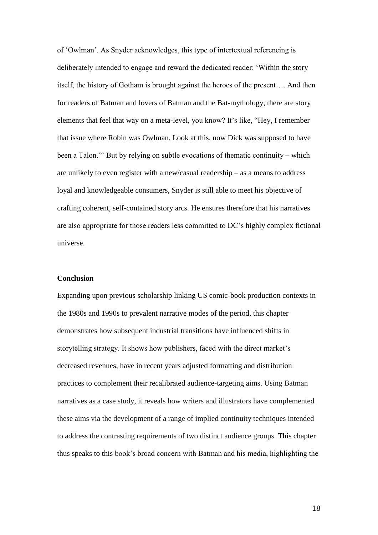of 'Owlman'. As Snyder acknowledges, this type of intertextual referencing is deliberately intended to engage and reward the dedicated reader: 'Within the story itself, the history of Gotham is brought against the heroes of the present…. And then for readers of Batman and lovers of Batman and the Bat-mythology, there are story elements that feel that way on a meta-level, you know? It's like, "Hey, I remember that issue where Robin was Owlman. Look at this, now Dick was supposed to have been a Talon."' But by relying on subtle evocations of thematic continuity – which are unlikely to even register with a new/casual readership – as a means to address loyal and knowledgeable consumers, Snyder is still able to meet his objective of crafting coherent, self-contained story arcs. He ensures therefore that his narratives are also appropriate for those readers less committed to DC's highly complex fictional universe.

#### **Conclusion**

Expanding upon previous scholarship linking US comic-book production contexts in the 1980s and 1990s to prevalent narrative modes of the period, this chapter demonstrates how subsequent industrial transitions have influenced shifts in storytelling strategy. It shows how publishers, faced with the direct market's decreased revenues, have in recent years adjusted formatting and distribution practices to complement their recalibrated audience-targeting aims. Using Batman narratives as a case study, it reveals how writers and illustrators have complemented these aims via the development of a range of implied continuity techniques intended to address the contrasting requirements of two distinct audience groups. This chapter thus speaks to this book's broad concern with Batman and his media, highlighting the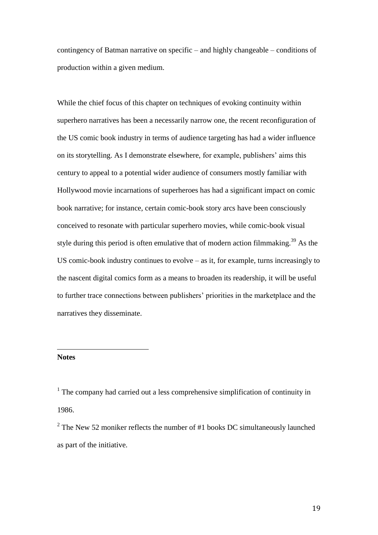contingency of Batman narrative on specific – and highly changeable – conditions of production within a given medium.

While the chief focus of this chapter on techniques of evoking continuity within superhero narratives has been a necessarily narrow one, the recent reconfiguration of the US comic book industry in terms of audience targeting has had a wider influence on its storytelling. As I demonstrate elsewhere, for example, publishers' aims this century to appeal to a potential wider audience of consumers mostly familiar with Hollywood movie incarnations of superheroes has had a significant impact on comic book narrative; for instance, certain comic-book story arcs have been consciously conceived to resonate with particular superhero movies, while comic-book visual style during this period is often emulative that of modern action filmmaking.<sup>39</sup> As the US comic-book industry continues to evolve – as it, for example, turns increasingly to the nascent digital comics form as a means to broaden its readership, it will be useful to further trace connections between publishers' priorities in the marketplace and the narratives they disseminate.

## **Notes**

 $\overline{a}$ 

<sup>1</sup> The company had carried out a less comprehensive simplification of continuity in 1986.

 $2^2$  The New 52 moniker reflects the number of #1 books DC simultaneously launched as part of the initiative.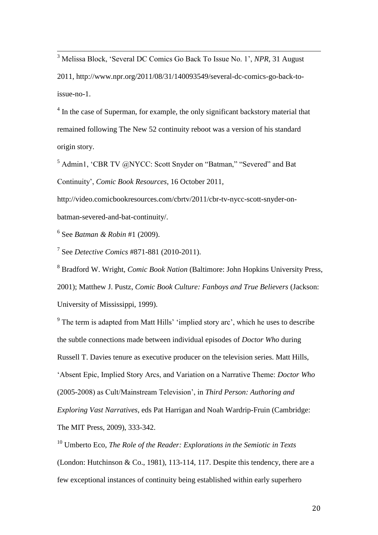<sup>3</sup> Melissa Block, 'Several DC Comics Go Back To Issue No. 1', *NPR*, 31 August

2011, http://www.npr.org/2011/08/31/140093549/several-dc-comics-go-back-toissue-no-1.

<sup>4</sup> In the case of Superman, for example, the only significant backstory material that remained following The New 52 continuity reboot was a version of his standard origin story.

<sup>5</sup> Admin1, 'CBR TV @NYCC: Scott Snyder on "Batman," "Severed" and Bat Continuity', *Comic Book Resources*, 16 October 2011,

http://video.comicbookresources.com/cbrtv/2011/cbr-tv-nycc-scott-snyder-onbatman-severed-and-bat-continuity/.

6 See *Batman & Robin* #1 (2009).

 $\overline{\phantom{a}}$ 

7 See *Detective Comics* #871-881 (2010-2011).

<sup>8</sup> Bradford W. Wright, *Comic Book Nation* (Baltimore: John Hopkins University Press, 2001); Matthew J. Pustz, *Comic Book Culture: Fanboys and True Believers* (Jackson: University of Mississippi, 1999).

<sup>9</sup> The term is adapted from Matt Hills' 'implied story arc', which he uses to describe the subtle connections made between individual episodes of *Doctor Who* during Russell T. Davies tenure as executive producer on the television series. Matt Hills, 'Absent Epic, Implied Story Arcs, and Variation on a Narrative Theme: *Doctor Who* (2005-2008) as Cult/Mainstream Television', in *Third Person: Authoring and Exploring Vast Narratives*, eds Pat Harrigan and Noah Wardrip-Fruin (Cambridge: The MIT Press, 2009), 333-342.

<sup>10</sup> Umberto Eco, *The Role of the Reader: Explorations in the Semiotic in Texts* (London: Hutchinson & Co., 1981), 113-114, 117. Despite this tendency, there are a few exceptional instances of continuity being established within early superhero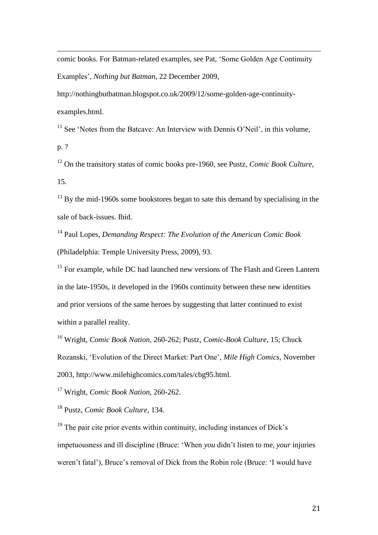comic books. For Batman-related examples, see Pat, 'Some Golden Age Continuity Examples', *Nothing but Batman*, 22 December 2009,

http://nothingbutbatman.blogspot.co.uk/2009/12/some-golden-age-continuityexamples.html.

 $11$  See 'Notes from the Batcave: An Interview with Dennis O'Neil', in this volume, p. ?

<sup>12</sup> On the transitory status of comic books pre-1960, see Pustz, *Comic Book Culture*, 15.

<sup>13</sup> By the mid-1960s some bookstores began to sate this demand by specialising in the sale of back-issues. Ibid.

<sup>14</sup> Paul Lopes, *Demanding Respect: The Evolution of the American Comic Book* (Philadelphia: Temple University Press, 2009), 93.

 $15$  For example, while DC had launched new versions of The Flash and Green Lantern in the late-1950s, it developed in the 1960s continuity between these new identities and prior versions of the same heroes by suggesting that latter continued to exist within a parallel reality.

<sup>16</sup> Wright, *Comic Book Nation*, 260-262; Pustz, *Comic-Book Culture*, 15; Chuck

Rozanski, 'Evolution of the Direct Market: Part One', *Mile High Comics*, November

2003, http://www.milehighcomics.com/tales/cbg95.html.

<sup>17</sup> Wright, *Comic Book Nation*, 260-262.

<sup>18</sup> Pustz, *Comic Book Culture*, 134.

 $\overline{a}$ 

 $19$  The pair cite prior events within continuity, including instances of Dick's impetuousness and ill discipline (Bruce: 'When *you* didn't listen to me, *your* injuries weren't fatal'), Bruce's removal of Dick from the Robin role (Bruce: 'I would have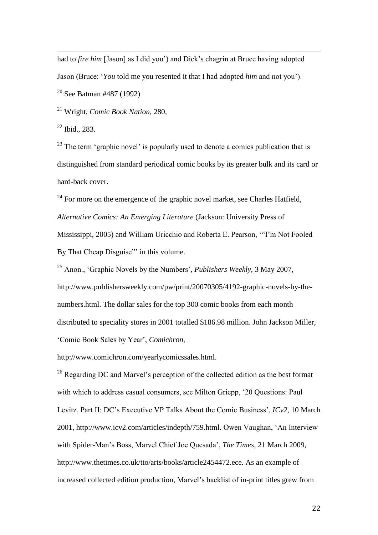$\overline{a}$ had to *fire him* [Jason] as I did you') and Dick's chagrin at Bruce having adopted Jason (Bruce: '*You* told me you resented it that I had adopted *him* and not you').  $20$  See Batman #487 (1992)

<sup>21</sup> Wright, *Comic Book Nation*, 280,

 $22$  Ibid., 283.

 $23$  The term 'graphic novel' is popularly used to denote a comics publication that is distinguished from standard periodical comic books by its greater bulk and its card or hard-back cover.

 $24$  For more on the emergence of the graphic novel market, see Charles Hatfield, *Alternative Comics: An Emerging Literature* (Jackson: University Press of Mississippi, 2005) and William Uricchio and Roberta E. Pearson, '"I'm Not Fooled By That Cheap Disguise"' in this volume.

<sup>25</sup> Anon., 'Graphic Novels by the Numbers', *Publishers Weekly*, 3 May 2007, http://www.publishersweekly.com/pw/print/20070305/4192-graphic-novels-by-thenumbers.html. The dollar sales for the top 300 comic books from each month distributed to speciality stores in 2001 totalled \$186.98 million. John Jackson Miller, 'Comic Book Sales by Year', *Comichron*,

http://www.comichron.com/yearlycomicssales.html.

<sup>26</sup> Regarding DC and Marvel's perception of the collected edition as the best format with which to address casual consumers, see Milton Griepp, '20 Questions: Paul Levitz, Part II: DC's Executive VP Talks About the Comic Business', *ICv2*, 10 March 2001, http://www.icv2.com/articles/indepth/759.html. Owen Vaughan, 'An Interview with Spider-Man's Boss, Marvel Chief Joe Quesada', *The Times*, 21 March 2009, http://www.thetimes.co.uk/tto/arts/books/article2454472.ece. As an example of increased collected edition production, Marvel's backlist of in-print titles grew from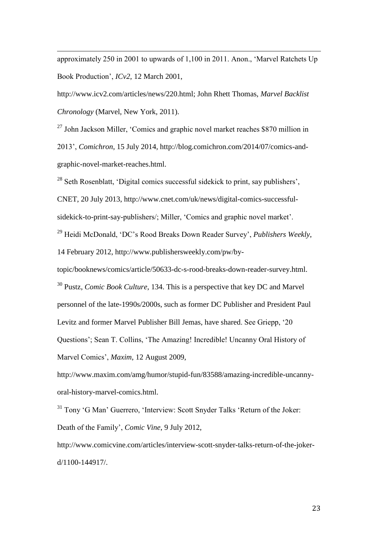approximately 250 in 2001 to upwards of 1,100 in 2011. Anon., 'Marvel Ratchets Up Book Production', *ICv2*, 12 March 2001,

 $\overline{a}$ 

http://www.icv2.com/articles/news/220.html; John Rhett Thomas, *Marvel Backlist Chronology* (Marvel, New York, 2011).

 $^{27}$  John Jackson Miller, 'Comics and graphic novel market reaches \$870 million in 2013', *Comichron*, 15 July 2014, http://blog.comichron.com/2014/07/comics-andgraphic-novel-market-reaches.html.

 $^{28}$  Seth Rosenblatt, 'Digital comics successful sidekick to print, say publishers',

CNET, 20 July 2013, http://www.cnet.com/uk/news/digital-comics-successful-

sidekick-to-print-say-publishers/; Miller, 'Comics and graphic novel market'.

<sup>29</sup> Heidi McDonald, 'DC's Rood Breaks Down Reader Survey', *Publishers Weekly*,

14 February 2012, http://www.publishersweekly.com/pw/by-

topic/booknews/comics/article/50633-dc-s-rood-breaks-down-reader-survey.html. <sup>30</sup> Pustz, *Comic Book Culture*, 134. This is a perspective that key DC and Marvel personnel of the late-1990s/2000s, such as former DC Publisher and President Paul Levitz and former Marvel Publisher Bill Jemas, have shared. See Griepp, '20 Questions'; Sean T. Collins, 'The Amazing! Incredible! Uncanny Oral History of Marvel Comics', *Maxim*, 12 August 2009,

http://www.maxim.com/amg/humor/stupid-fun/83588/amazing-incredible-uncannyoral-history-marvel-comics.html.

<sup>31</sup> Tony 'G Man' Guerrero, 'Interview: Scott Snyder Talks 'Return of the Joker: Death of the Family', *Comic Vine*, 9 July 2012,

http://www.comicvine.com/articles/interview-scott-snyder-talks-return-of-the-jokerd/1100-144917/.